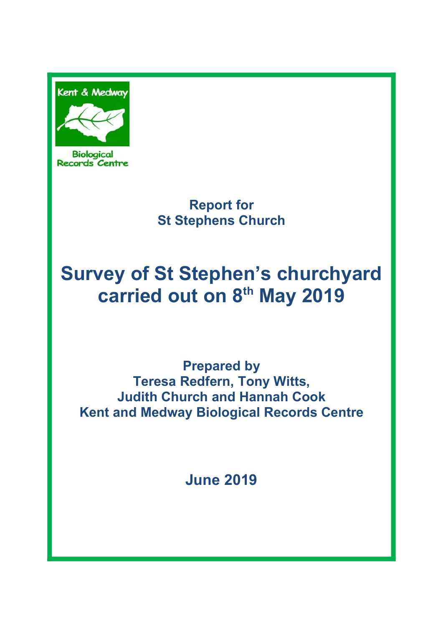

**Biological Records Centre** 

## Report for St Stephens Church

# Survey of St Stephen's churchyard carried out on 8<sup>th</sup> May 2019

Prepared by Teresa Redfern, Tony Witts, Judith Church and Hannah Cook Kent and Medway Biological Records Centre

June 2019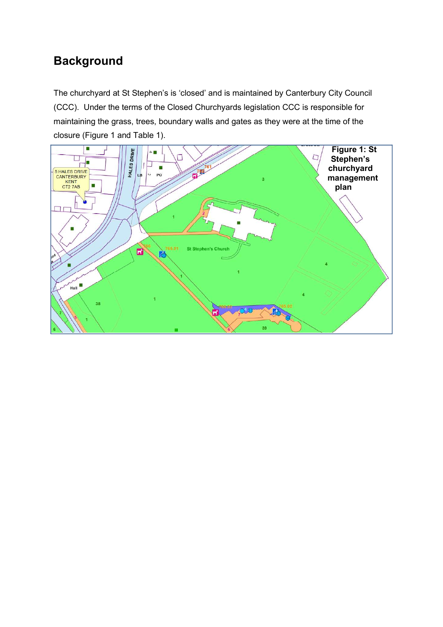### **Background**

The churchyard at St Stephen's is 'closed' and is maintained by Canterbury City Council (CCC). Under the terms of the Closed Churchyards legislation CCC is responsible for maintaining the grass, trees, boundary walls and gates as they were at the time of the closure (Figure 1 and Table 1).

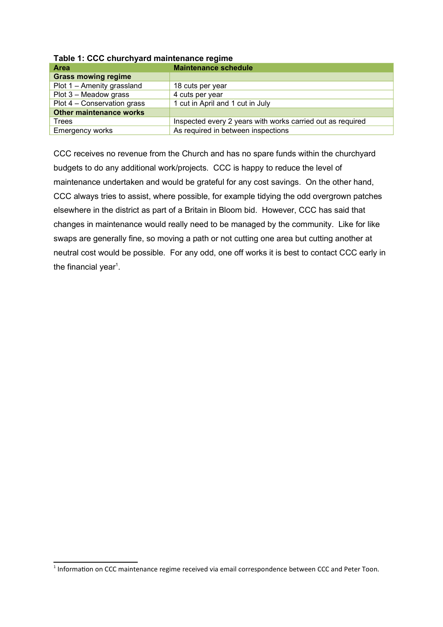| <u>rapic 1. 000 charchydru maintenance regnne</u>          |  |  |  |
|------------------------------------------------------------|--|--|--|
| <b>Maintenance schedule</b>                                |  |  |  |
|                                                            |  |  |  |
| 18 cuts per year                                           |  |  |  |
| 4 cuts per year                                            |  |  |  |
| 1 cut in April and 1 cut in July                           |  |  |  |
|                                                            |  |  |  |
| Inspected every 2 years with works carried out as required |  |  |  |
| As required in between inspections                         |  |  |  |
|                                                            |  |  |  |

Table 1: CCC churchyard maintenance regime

CCC receives no revenue from the Church and has no spare funds within the churchyard budgets to do any additional work/projects. CCC is happy to reduce the level of maintenance undertaken and would be grateful for any cost savings. On the other hand, CCC always tries to assist, where possible, for example tidying the odd overgrown patches elsewhere in the district as part of a Britain in Bloom bid. However, CCC has said that changes in maintenance would really need to be managed by the community. Like for like swaps are generally fine, so moving a path or not cutting one area but cutting another at neutral cost would be possible. For any odd, one off works it is best to contact CCC early in the financial year<sup>1</sup>.

 $<sup>1</sup>$  Information on CCC maintenance regime received via email correspondence between CCC and Peter Toon.</sup>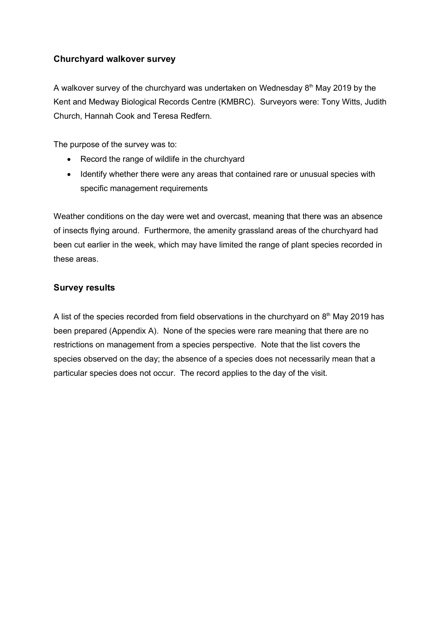#### Churchyard walkover survey

A walkover survey of the churchyard was undertaken on Wednesday  $8<sup>th</sup>$  May 2019 by the Kent and Medway Biological Records Centre (KMBRC). Surveyors were: Tony Witts, Judith Church, Hannah Cook and Teresa Redfern.

The purpose of the survey was to:

- Record the range of wildlife in the churchyard
- Identify whether there were any areas that contained rare or unusual species with specific management requirements

Weather conditions on the day were wet and overcast, meaning that there was an absence of insects flying around. Furthermore, the amenity grassland areas of the churchyard had been cut earlier in the week, which may have limited the range of plant species recorded in these areas.

#### Survey results

A list of the species recorded from field observations in the churchyard on  $8<sup>th</sup>$  May 2019 has been prepared (Appendix A). None of the species were rare meaning that there are no restrictions on management from a species perspective. Note that the list covers the species observed on the day; the absence of a species does not necessarily mean that a particular species does not occur. The record applies to the day of the visit.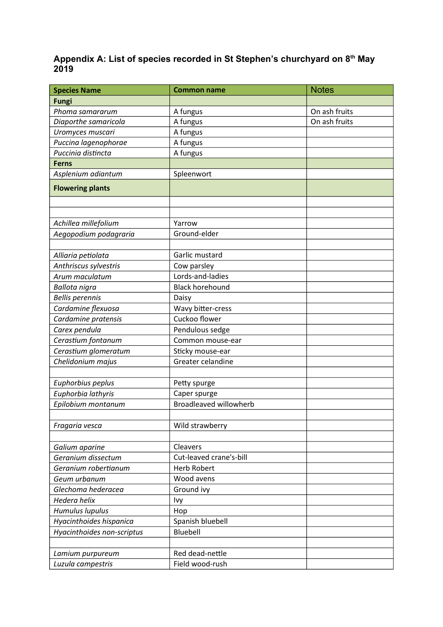#### Appendix A: List of species recorded in St Stephen's churchyard on  $8<sup>th</sup>$  May 2019

| <b>Species Name</b>        | <b>Common name</b>            | <b>Notes</b>  |
|----------------------------|-------------------------------|---------------|
| <b>Fungi</b>               |                               |               |
| Phoma samararum            | A fungus                      | On ash fruits |
| Diaporthe samaricola       | A fungus                      | On ash fruits |
| Uromyces muscari           | A fungus                      |               |
| Puccina lagenophorae       | A fungus                      |               |
| Puccinia distincta         | A fungus                      |               |
| <b>Ferns</b>               |                               |               |
| Asplenium adiantum         | Spleenwort                    |               |
| <b>Flowering plants</b>    |                               |               |
|                            |                               |               |
|                            |                               |               |
| Achillea millefolium       | Yarrow                        |               |
| Aegopodium podagraria      | Ground-elder                  |               |
|                            |                               |               |
| Alliaria petiolata         | Garlic mustard                |               |
| Anthriscus sylvestris      | Cow parsley                   |               |
| Arum maculatum             | Lords-and-ladies              |               |
| Ballota nigra              | <b>Black horehound</b>        |               |
| <b>Bellis perennis</b>     | Daisy                         |               |
| Cardamine flexuosa         | Wavy bitter-cress             |               |
| Cardamine pratensis        | Cuckoo flower                 |               |
| Carex pendula              | Pendulous sedge               |               |
| Cerastium fontanum         | Common mouse-ear              |               |
| Cerastium glomeratum       | Sticky mouse-ear              |               |
| Chelidonium majus          | Greater celandine             |               |
|                            |                               |               |
| Euphorbius peplus          | Petty spurge                  |               |
| Euphorbia lathyris         | Caper spurge                  |               |
| Epilobium montanum         | <b>Broadleaved willowherb</b> |               |
|                            |                               |               |
| Fragaria vesca             | Wild strawberry               |               |
|                            |                               |               |
| Galium aparine             | Cleavers                      |               |
| Geranium dissectum         | Cut-leaved crane's-bill       |               |
| Geranium robertianum       | <b>Herb Robert</b>            |               |
| Geum urbanum               | Wood avens                    |               |
| Glechoma hederacea         | Ground ivy                    |               |
| Hedera helix               | Ivy                           |               |
| Humulus lupulus            | Hop                           |               |
| Hyacinthoides hispanica    | Spanish bluebell              |               |
| Hyacinthoides non-scriptus | Bluebell                      |               |
|                            |                               |               |
| Lamium purpureum           | Red dead-nettle               |               |
| Luzula campestris          | Field wood-rush               |               |